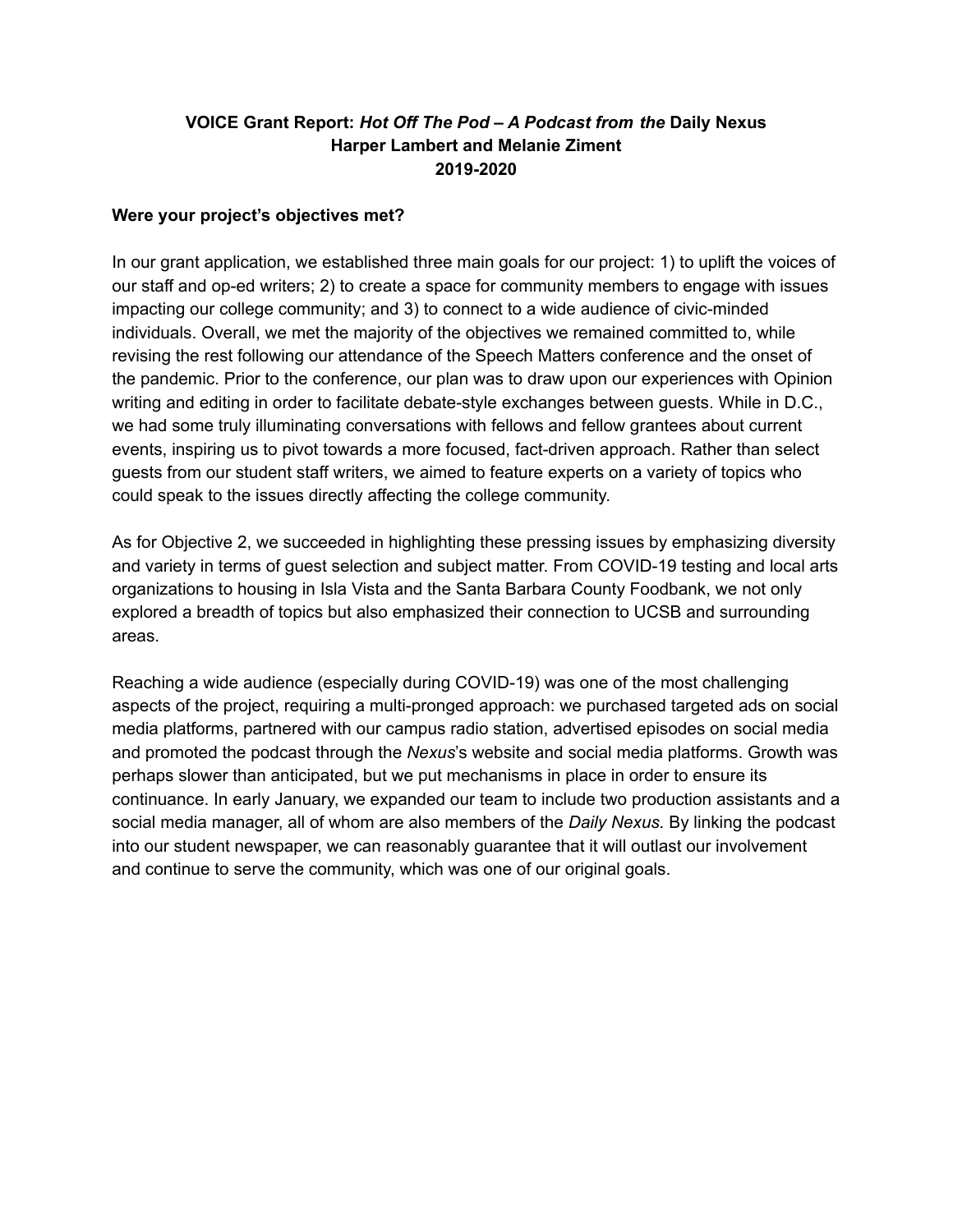## **VOICE Grant Report:** *Hot Off The Pod – A Podcast from the* **Daily Nexus Harper Lambert and Melanie Ziment 2019-2020**

#### **Were your project's objectives met?**

In our grant application, we established three main goals for our project: 1) to uplift the voices of our staff and op-ed writers; 2) to create a space for community members to engage with issues impacting our college community; and 3) to connect to a wide audience of civic-minded individuals. Overall, we met the majority of the objectives we remained committed to, while revising the rest following our attendance of the Speech Matters conference and the onset of the pandemic. Prior to the conference, our plan was to draw upon our experiences with Opinion writing and editing in order to facilitate debate-style exchanges between guests. While in D.C., we had some truly illuminating conversations with fellows and fellow grantees about current events, inspiring us to pivot towards a more focused, fact-driven approach. Rather than select guests from our student staff writers, we aimed to feature experts on a variety of topics who could speak to the issues directly affecting the college community.

As for Objective 2, we succeeded in highlighting these pressing issues by emphasizing diversity and variety in terms of guest selection and subject matter. From COVID-19 testing and local arts organizations to housing in Isla Vista and the Santa Barbara County Foodbank, we not only explored a breadth of topics but also emphasized their connection to UCSB and surrounding areas.

Reaching a wide audience (especially during COVID-19) was one of the most challenging aspects of the project, requiring a multi-pronged approach: we purchased targeted ads on social media platforms, partnered with our campus radio station, advertised episodes on social media and promoted the podcast through the *Nexus*'s website and social media platforms. Growth was perhaps slower than anticipated, but we put mechanisms in place in order to ensure its continuance. In early January, we expanded our team to include two production assistants and a social media manager, all of whom are also members of the *Daily Nexus.* By linking the podcast into our student newspaper, we can reasonably guarantee that it will outlast our involvement and continue to serve the community, which was one of our original goals.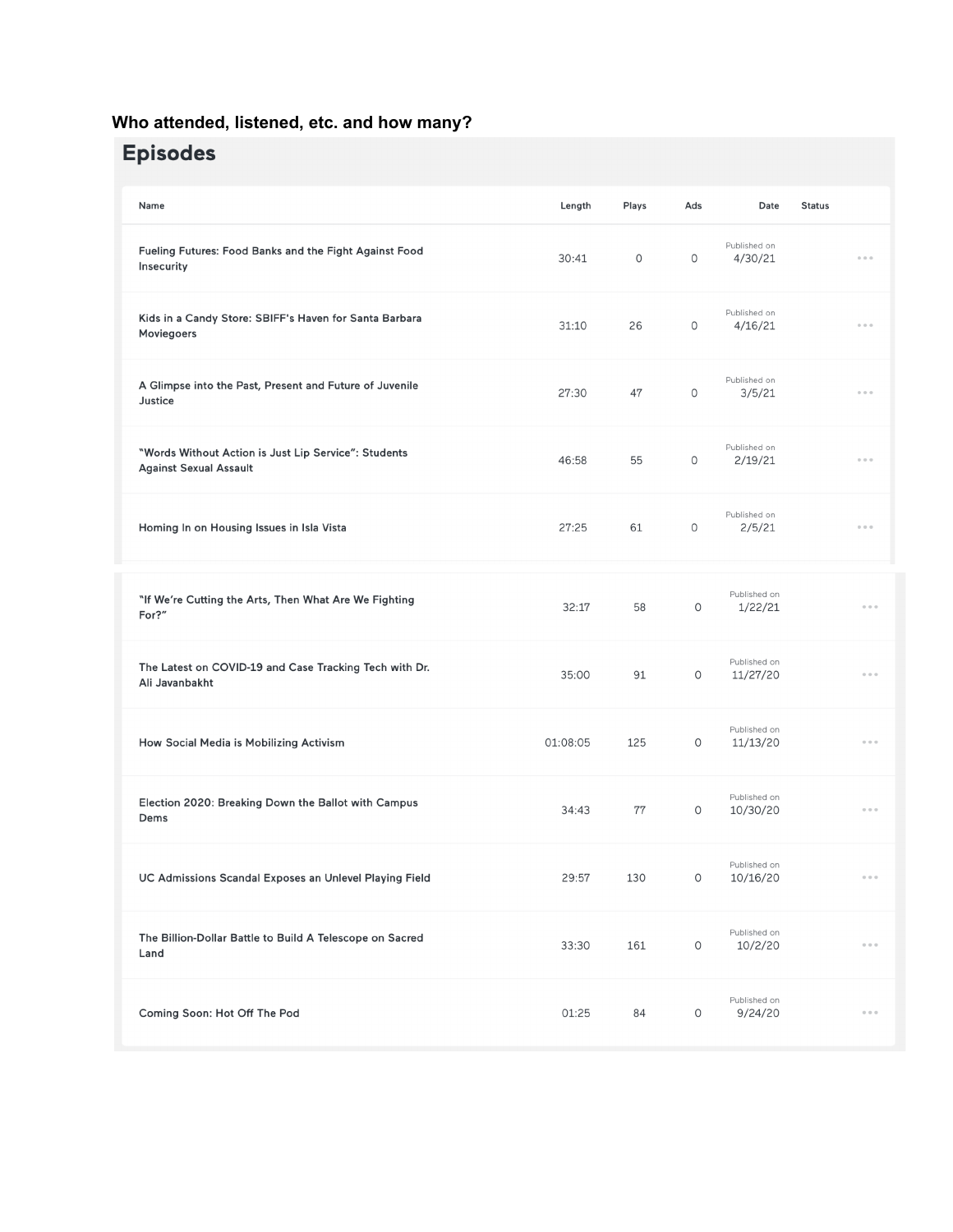## **Who attended, listened, etc. and how many?**

# **Episodes**

| Name                                                                                  | Length   | Plays   | Ads         | Date                     | <b>Status</b> |                                            |
|---------------------------------------------------------------------------------------|----------|---------|-------------|--------------------------|---------------|--------------------------------------------|
| Fueling Futures: Food Banks and the Fight Against Food<br>Insecurity                  | 30:41    | $\circ$ | 0           | Published on<br>4/30/21  |               | 0.0.0                                      |
| Kids in a Candy Store: SBIFF's Haven for Santa Barbara<br>Moviegoers                  | 31:10    | 26      | 0           | Published on<br>4/16/21  |               | $\begin{array}{ccc} 0 & 0 & 0 \end{array}$ |
| A Glimpse into the Past, Present and Future of Juvenile<br>Justice                    | 27:30    | 47      | 0           | Published on<br>3/5/21   |               | $\alpha \cdot \alpha \cdot \alpha$         |
| "Words Without Action is Just Lip Service": Students<br><b>Against Sexual Assault</b> | 46:58    | 55      | 0           | Published on<br>2/19/21  |               | 0.0.0                                      |
| Homing In on Housing Issues in Isla Vista                                             | 27:25    | 61      | 0           | Published on<br>2/5/21   |               | 0.0.0                                      |
| "If We're Cutting the Arts, Then What Are We Fighting<br>For?"                        | 32:17    | 58      | $\circ$     | Published on<br>1/22/21  |               | 0<0<                                       |
| The Latest on COVID-19 and Case Tracking Tech with Dr.<br>Ali Javanbakht              | 35:00    | 91      | 0           | Published on<br>11/27/20 |               | 0<0<                                       |
| How Social Media is Mobilizing Activism                                               | 01:08:05 | 125     | $\circ$     | Published on<br>11/13/20 |               | $\alpha \cdot \alpha \cdot \alpha$         |
| Election 2020: Breaking Down the Ballot with Campus<br>Dems                           | 34:43    | 77      | O           | Published on<br>10/30/20 |               | $0\quad 0\quad 0$                          |
| UC Admissions Scandal Exposes an Unlevel Playing Field                                | 29:57    | 130     | $\mathsf O$ | Published on<br>10/16/20 |               | $0\cdot 0\cdot 0$                          |
| The Billion-Dollar Battle to Build A Telescope on Sacred<br>Land                      | 33:30    | 161     | $\mathsf O$ | Published on<br>10/2/20  |               | $\begin{array}{ccc} 0 & 0 & 0 \end{array}$ |
| Coming Soon: Hot Off The Pod                                                          | 01:25    | 84      | $\circ$     | Published on<br>9/24/20  |               | $0\cdot 0\cdot 0$                          |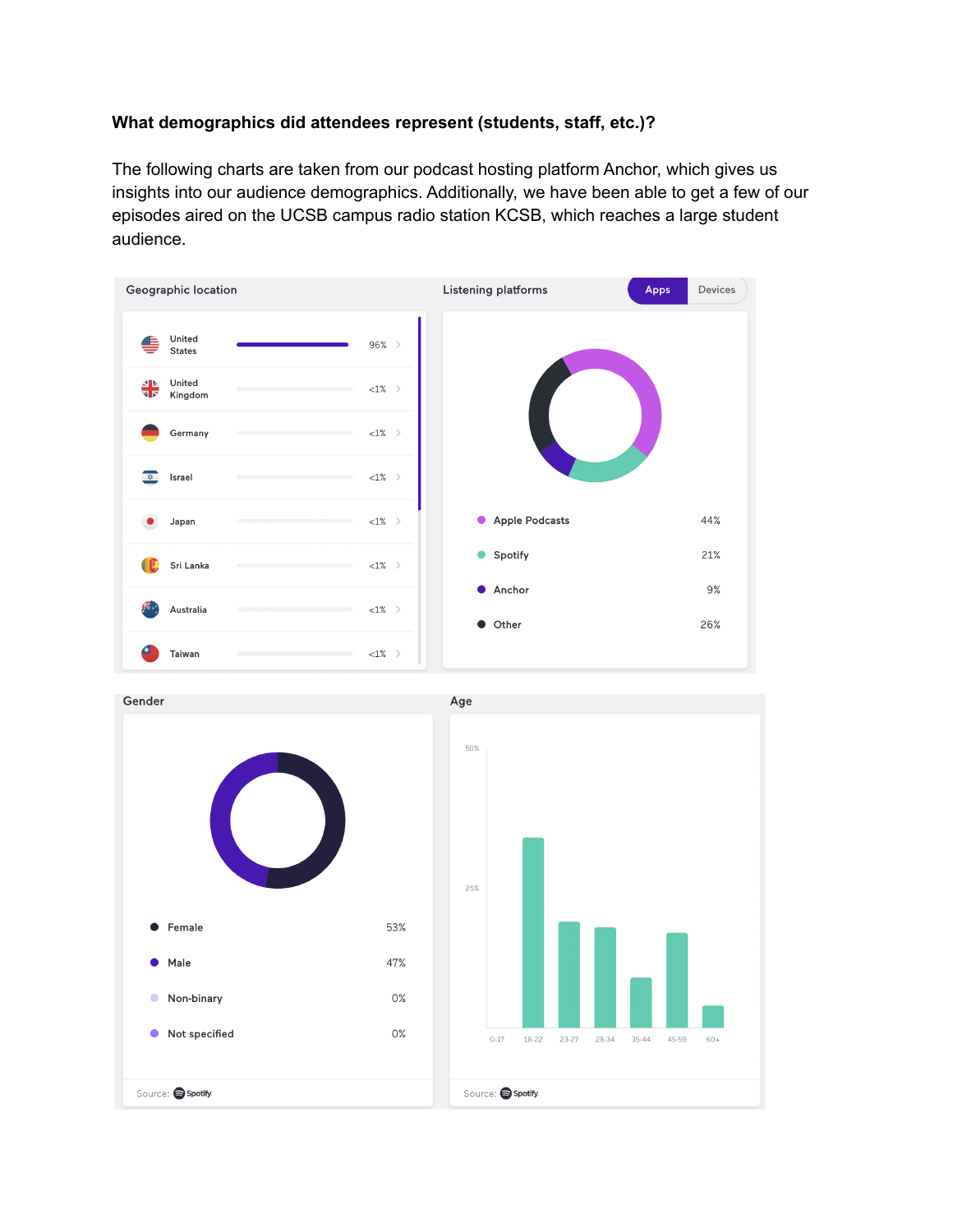## **What demographics did attendees represent (students, staff, etc.)?**

The following charts are taken from our podcast hosting platform Anchor, which gives us insights into our audience demographics. Additionally, we have been able to get a few of our episodes aired on the UCSB campus radio station KCSB, which reaches a large student audience.

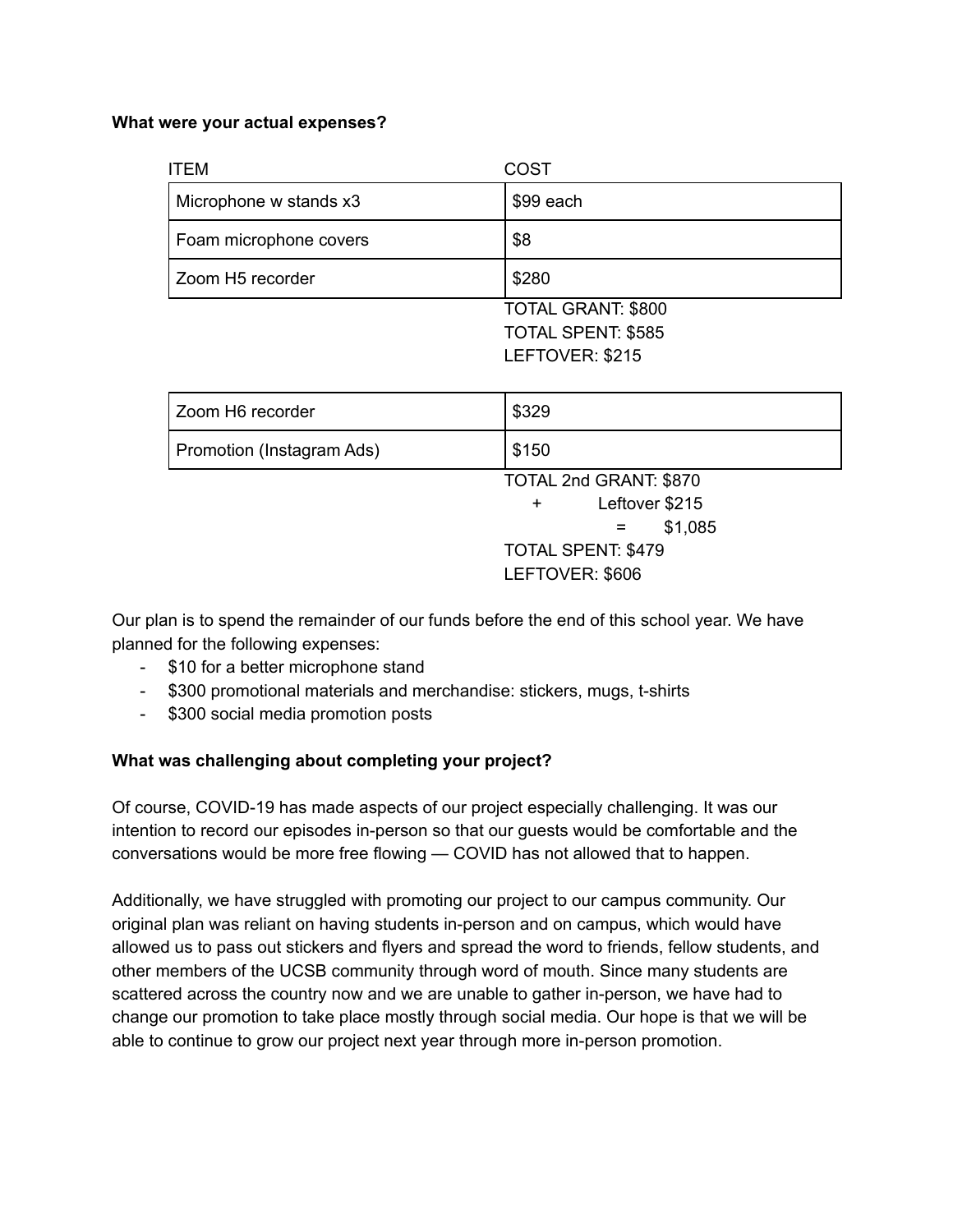#### **What were your actual expenses?**

| <b>ITEM</b>               | COST            |  |
|---------------------------|-----------------|--|
| Microphone w stands x3    | \$99 each       |  |
| Foam microphone covers    | \$8             |  |
| Zoom H5 recorder          | \$280           |  |
| <b>TOTAL GRANT: \$800</b> |                 |  |
| <b>TOTAL SPENT: \$585</b> |                 |  |
|                           | LEFTOVER: \$215 |  |

| Zoom H6 recorder          | \$329                     |  |  |
|---------------------------|---------------------------|--|--|
| Promotion (Instagram Ads) | \$150                     |  |  |
|                           | TOTAL 2nd GRANT: \$870    |  |  |
|                           | Leftover \$215<br>$+$     |  |  |
|                           | \$1,085<br>$=$            |  |  |
|                           | <b>TOTAL SPENT: \$479</b> |  |  |
|                           | LEFTOVER: \$606           |  |  |

Our plan is to spend the remainder of our funds before the end of this school year. We have planned for the following expenses:

- \$10 for a better microphone stand
- \$300 promotional materials and merchandise: stickers, mugs, t-shirts
- \$300 social media promotion posts

#### **What was challenging about completing your project?**

Of course, COVID-19 has made aspects of our project especially challenging. It was our intention to record our episodes in-person so that our guests would be comfortable and the conversations would be more free flowing — COVID has not allowed that to happen.

Additionally, we have struggled with promoting our project to our campus community. Our original plan was reliant on having students in-person and on campus, which would have allowed us to pass out stickers and flyers and spread the word to friends, fellow students, and other members of the UCSB community through word of mouth. Since many students are scattered across the country now and we are unable to gather in-person, we have had to change our promotion to take place mostly through social media. Our hope is that we will be able to continue to grow our project next year through more in-person promotion.